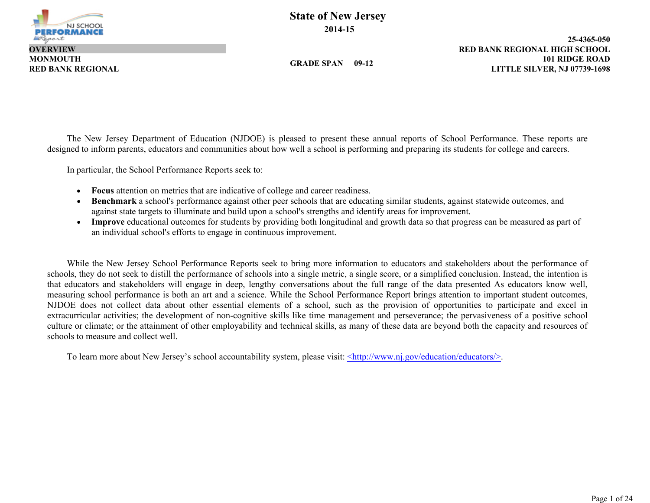

**MONMOUTH OVERVIEW**

**GRADE SPAN 09-12**

**101 RIDGE ROAD 25-4365-050 RED BANK REGIONAL LITTLE SILVER, NJ 07739-1698 RED BANK REGIONAL HIGH SCHOOL**

The New Jersey Department of Education (NJDOE) is pleased to present these annual reports of School Performance. These reports are designed to inform parents, educators and communities about how well a school is performing and preparing its students for college and careers.

In particular, the School Performance Reports seek to:

- **Focus** attention on metrics that are indicative of college and career readiness.
- **Benchmark** a school's performance against other peer schools that are educating similar students, against statewide outcomes, and against state targets to illuminate and build upon a school's strengths and identify areas for improvement.
- **Improve** educational outcomes for students by providing both longitudinal and growth data so that progress can be measured as part of an individual school's efforts to engage in continuous improvement.

While the New Jersey School Performance Reports seek to bring more information to educators and stakeholders about the performance of schools, they do not seek to distill the performance of schools into a single metric, a single score, or a simplified conclusion. Instead, the intention is that educators and stakeholders will engage in deep, lengthy conversations about the full range of the data presented As educators know well, measuring school performance is both an art and a science. While the School Performance Report brings attention to important student outcomes, NJDOE does not collect data about other essential elements of a school, such as the provision of opportunities to participate and excel in extracurricular activities; the development of non-cognitive skills like time management and perseverance; the pervasiveness of a positive school culture or climate; or the attainment of other employability and technical skills, as many of these data are beyond both the capacity and resources of schools to measure and collect well.

To learn more about New Jersey's school accountability system, please visit: <http://www.nj.gov/education/educators/>.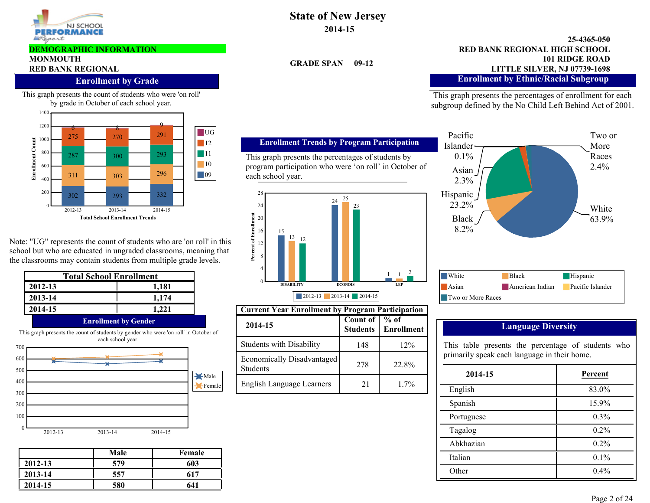

#### **DEMOGRAPHIC INFORMATION**

# **MONMOUTH**

### **Enrollment by Grade**

This graph presents the count of students who were 'on roll' by grade in October of each school year.



Note: "UG" represents the count of students who are 'on roll' in this school but who are educated in ungraded classrooms, meaning that the classrooms may contain students from multiple grade levels.

| Total School Enrollment |                                                                                      |  |  |  |  |  |
|-------------------------|--------------------------------------------------------------------------------------|--|--|--|--|--|
| 2012-13                 | 1,181                                                                                |  |  |  |  |  |
| 2013-14                 | 1,174                                                                                |  |  |  |  |  |
| 2014-15                 | 1.221                                                                                |  |  |  |  |  |
|                         | <b>Enrollment by Gender</b>                                                          |  |  |  |  |  |
|                         | This graph presents the count of students by gender who were 'on roll' in October of |  |  |  |  |  |

2012-13 2013-14 2014-15 0 100 200 300 400 500 600 700 Male Female each school year.

|         | Male | Female |
|---------|------|--------|
| 2012-13 | 579  | 603    |
| 2013-14 | 557  | 617    |
| 2014-15 | 580  | 641    |

**State of New Jersey 2014-15**

**GRADE SPAN 09-12**

### **101 RIDGE ROAD 25-4365-050** RED BANK REGIONAL **RED BANK REGIONAL RED BANK REGIONAL LITTLE SILVER, NJ 07739-1698 RED BANK REGIONAL HIGH SCHOOL Enrollment by Ethnic/Racial Subgroup**

This graph presents the percentages of enrollment for each subgroup defined by the No Child Left Behind Act of 2001.



# **Language Diversity**

| 2014-15    | Percent |
|------------|---------|
| English    | 83.0%   |
| Spanish    | 15.9%   |
| Portuguese | $0.3\%$ |
| Tagalog    | 0.2%    |
| Abkhazian  | $0.2\%$ |
| Italian    | $0.1\%$ |
| Other      | $0.4\%$ |

#### This graph presents the percentages of students by program participation who were 'on roll' in October of each school year.

**Enrollment Trends by Program Participation**



| <b>Current Year Enrollment by Program Participation</b> |                             |                      |                                                    |                  |  |  |  |
|---------------------------------------------------------|-----------------------------|----------------------|----------------------------------------------------|------------------|--|--|--|
| 2014-15                                                 | Count of<br><b>Students</b> | $%$ of<br>Enrollment | <b>Language Diversity</b>                          |                  |  |  |  |
| <b>Students with Disability</b>                         | 148                         | 12%                  | This table presents the percentage of students who |                  |  |  |  |
| Economically Disadvantaged<br><b>Students</b>           | 278                         | 22.8%                | primarily speak each language in their home.       |                  |  |  |  |
| English Language Learners                               | 21                          | $1.7\%$              | 2014-15<br>English                                 | Percent<br>83.0% |  |  |  |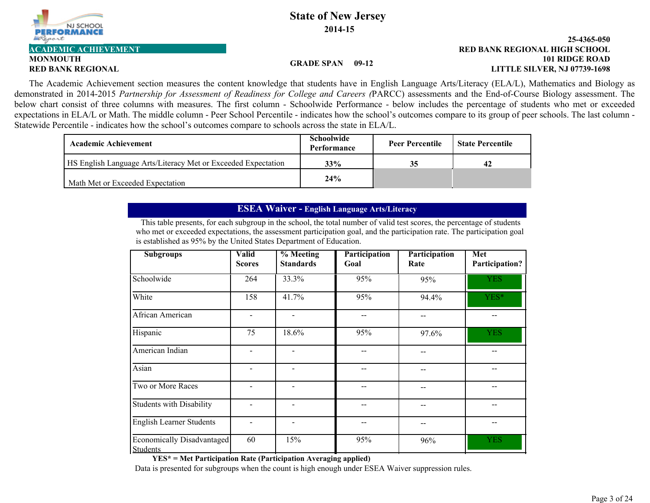

# **MONMOUTH**

#### **101 RIDGE ROAD 25-4365-050 RED BANK REGIONAL LITTLE SILVER, NJ 07739-1698 ACADEMIC ACHIEVEMENT RED BANK REGIONAL HIGH SCHOOL**

#### **GRADE SPAN 09-12**

The Academic Achievement section measures the content knowledge that students have in English Language Arts/Literacy (ELA/L), Mathematics and Biology as demonstrated in 2014-2015 *Partnership for Assessment of Readiness for College and Careers (*PARCC) assessments and the End-of-Course Biology assessment. The below chart consist of three columns with measures. The first column - Schoolwide Performance - below includes the percentage of students who met or exceeded expectations in ELA/L or Math. The middle column - Peer School Percentile - indicates how the school's outcomes compare to its group of peer schools. The last column - Statewide Percentile - indicates how the school's outcomes compare to schools across the state in ELA/L.

| <b>Academic Achievement</b>                                   | Schoolwide<br><b>Performance</b> | <b>Peer Percentile</b> | <b>State Percentile</b> |
|---------------------------------------------------------------|----------------------------------|------------------------|-------------------------|
| HS English Language Arts/Literacy Met or Exceeded Expectation | 33%                              | 35                     | 42                      |
| Math Met or Exceeded Expectation                              | 24%                              |                        |                         |

## **ESEA Waiver - English Language Arts/Literacy**

This table presents, for each subgroup in the school, the total number of valid test scores, the percentage of students who met or exceeded expectations, the assessment participation goal, and the participation rate. The participation goal is established as 95% by the United States Department of Education.

| <b>Subgroups</b>                              | <b>Valid</b><br><b>Scores</b> | % Meeting<br><b>Standards</b> | Participation<br>Goal | Participation<br>Rate | Met<br>Participation? |
|-----------------------------------------------|-------------------------------|-------------------------------|-----------------------|-----------------------|-----------------------|
| Schoolwide                                    | 264                           | 33.3%                         | 95%                   | 95%                   | <b>YES</b>            |
| White                                         | 158                           | 41.7%                         | 95%                   | 94.4%                 | YES*                  |
| African American                              | $\blacksquare$                | $\overline{\phantom{a}}$      |                       |                       |                       |
| Hispanic                                      | 75                            | 18.6%                         | 95%                   | 97.6%                 | <b>YES</b>            |
| American Indian                               | $\blacksquare$                |                               |                       |                       |                       |
| Asian                                         | $\blacksquare$                | -                             |                       |                       |                       |
| Two or More Races                             | ۰                             | $\qquad \qquad \blacksquare$  |                       |                       |                       |
| <b>Students with Disability</b>               | $\blacksquare$                | $\overline{\phantom{a}}$      |                       |                       | --                    |
| <b>English Learner Students</b>               | ۰                             | $\overline{a}$                |                       | --                    |                       |
| Economically Disadvantaged<br><b>Students</b> | 60                            | 15%                           | 95%                   | 96%                   | <b>YES</b>            |

**YES\* = Met Participation Rate (Participation Averaging applied)**

Data is presented for subgroups when the count is high enough under ESEA Waiver suppression rules.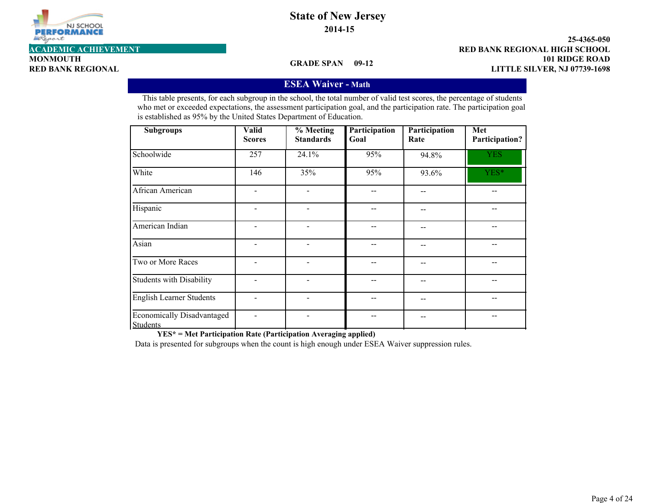

**MONMOUTH**

**101 RIDGE ROAD 25-4365-050 RED BANK REGIONAL LITTLE SILVER, NJ 07739-1698 ACADEMIC ACHIEVEMENT RED BANK REGIONAL HIGH SCHOOL**

**GRADE SPAN 09-12**

## **ESEA Waiver - Math**

This table presents, for each subgroup in the school, the total number of valid test scores, the percentage of students who met or exceeded expectations, the assessment participation goal, and the participation rate. The participation goal is established as 95% by the United States Department of Education.

| <b>Subgroups</b>                              | <b>Valid</b><br><b>Scores</b> | $%$ Meeting<br><b>Standards</b> | Participation<br>Goal | Participation<br>Rate | Met<br>Participation? |
|-----------------------------------------------|-------------------------------|---------------------------------|-----------------------|-----------------------|-----------------------|
| Schoolwide                                    | 257                           | 24.1%                           | 95%                   | 94.8%                 | <b>YES</b>            |
| White                                         | 146                           | 35%                             | 95%                   | 93.6%                 | YES*                  |
| African American                              |                               |                                 |                       |                       |                       |
| Hispanic                                      |                               | $\overline{a}$                  |                       | --                    |                       |
| American Indian                               |                               |                                 |                       | --                    |                       |
| Asian                                         |                               |                                 |                       | --                    |                       |
| Two or More Races                             |                               |                                 |                       |                       |                       |
| Students with Disability                      |                               | $\overline{a}$                  |                       | --                    |                       |
| <b>English Learner Students</b>               |                               |                                 |                       |                       |                       |
| Economically Disadvantaged<br><b>Students</b> |                               |                                 |                       |                       |                       |

**YES\* = Met Participation Rate (Participation Averaging applied)**

Data is presented for subgroups when the count is high enough under ESEA Waiver suppression rules.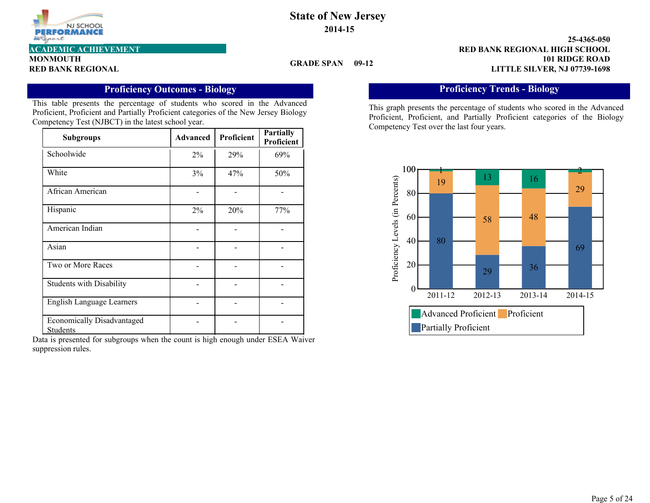

**MONMOUTH**

### **GRADE SPAN 09-12**

**101 RIDGE ROAD 25-4365-050 RED BANK REGIONAL LITTLE SILVER, NJ 07739-1698 ACADEMIC ACHIEVEMENT RED BANK REGIONAL HIGH SCHOOL**

# **Proficiency Outcomes - Biology**

This table presents the percentage of students who scored in the Advanced Proficient, Proficient and Partially Proficient categories of the New Jersey Biology Competency Test (NJBCT) in the latest school year.

| <b>Subgroups</b>                              | <b>Advanced</b> | Proficient | <b>Partially</b><br>Proficient |
|-----------------------------------------------|-----------------|------------|--------------------------------|
| Schoolwide                                    | $2\%$           | 29%        | 69%                            |
| White                                         | 3%              | 47%        | 50%                            |
| African American                              |                 |            |                                |
| Hispanic                                      | $2\%$           | 20%        | 77%                            |
| American Indian                               |                 |            |                                |
| Asian                                         |                 |            |                                |
| Two or More Races                             |                 |            |                                |
| <b>Students with Disability</b>               |                 |            |                                |
| <b>English Language Learners</b>              |                 |            |                                |
| <b>Economically Disadvantaged</b><br>Students |                 |            |                                |

Data is presented for subgroups when the count is high enough under ESEA Waiver suppression rules.

# **Proficiency Trends - Biology**

This graph presents the percentage of students who scored in the Advanced Proficient, Proficient, and Partially Proficient categories of the Biology Competency Test over the last four years.

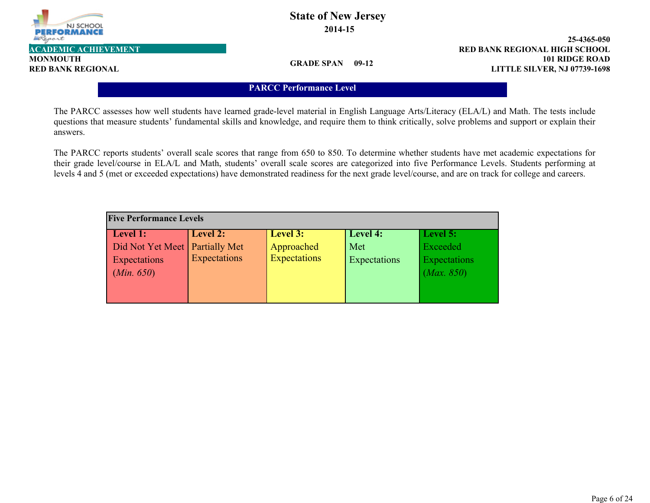

# **State of New Jersey 2014-15**

**101 RIDGE ROAD 25-4365-050 RED BANK REGIONAL LITTLE SILVER, NJ 07739-1698 ACADEMIC ACHIEVEMENT RED BANK REGIONAL HIGH SCHOOL**

**GRADE SPAN 09-12**

### **PARCC Performance Level**

The PARCC assesses how well students have learned grade-level material in English Language Arts/Literacy (ELA/L) and Math. The tests include questions that measure students' fundamental skills and knowledge, and require them to think critically, solve problems and support or explain their answers.

The PARCC reports students' overall scale scores that range from 650 to 850. To determine whether students have met academic expectations for their grade level/course in ELA/L and Math, students' overall scale scores are categorized into five Performance Levels. Students performing at levels 4 and 5 (met or exceeded expectations) have demonstrated readiness for the next grade level/course, and are on track for college and careers.

| <b>Five Performance Levels</b>   |              |                     |              |              |  |  |  |  |  |  |
|----------------------------------|--------------|---------------------|--------------|--------------|--|--|--|--|--|--|
| Level 1:                         | Level 2:     | Level 3:            | Level 4:     | Level 5:     |  |  |  |  |  |  |
| Did Not Yet Meet   Partially Met |              | Approached          | Met          | Exceeded     |  |  |  |  |  |  |
| Expectations                     | Expectations | <b>Expectations</b> | Expectations | Expectations |  |  |  |  |  |  |
| (Min. 650)                       |              |                     |              | (Max. 850)   |  |  |  |  |  |  |
|                                  |              |                     |              |              |  |  |  |  |  |  |
|                                  |              |                     |              |              |  |  |  |  |  |  |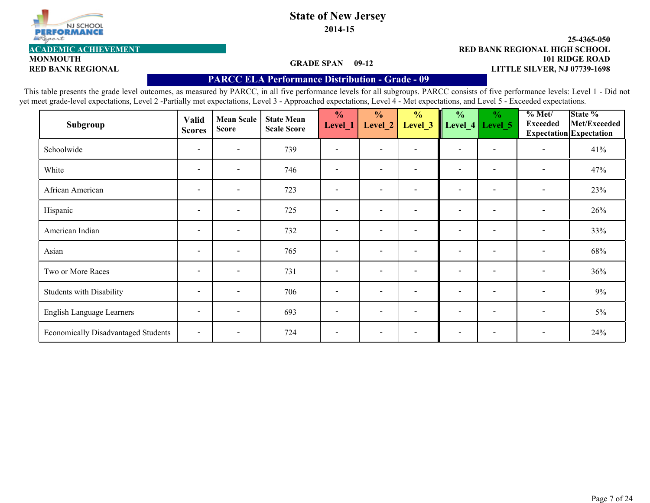

# **State of New Jersey**

**2014-15**

#### **101 RIDGE ROAD 25-4365-050 RED BANK REGIONAL LITTLE SILVER, NJ 07739-1698 ACADEMIC ACHIEVEMENT RED BANK REGIONAL HIGH SCHOOL**

#### **GRADE SPAN 09-12**

## **PARCC ELA Performance Distribution - Grade - 09**

This table presents the grade level outcomes, as measured by PARCC, in all five performance levels for all subgroups. PARCC consists of five performance levels: Level 1 - Did not yet meet grade-level expectations, Level 2 -Partially met expectations, Level 3 - Approached expectations, Level 4 - Met expectations, and Level 5 - Exceeded expectations.

| Subgroup                                   | <b>Valid</b><br><b>Scores</b> | <b>Mean Scale</b><br><b>Score</b> | <b>State Mean</b><br><b>Scale Score</b> | $\frac{0}{0}$<br>Level_1 | $\frac{0}{0}$<br>Level_2 | $\frac{0}{0}$<br>Level <sub>_3</sub> | $\frac{0}{0}$            | $\frac{6}{6}$<br>Level_4   Level_5 | % Met/<br><b>Exceeded</b> | State %<br>Met/Exceeded<br>Expectation Expectation |
|--------------------------------------------|-------------------------------|-----------------------------------|-----------------------------------------|--------------------------|--------------------------|--------------------------------------|--------------------------|------------------------------------|---------------------------|----------------------------------------------------|
| Schoolwide                                 | $\overline{\phantom{a}}$      | $\overline{\phantom{0}}$          | 739                                     |                          | $\overline{\phantom{a}}$ |                                      | $\overline{\phantom{a}}$ |                                    | $\overline{\phantom{a}}$  | 41%                                                |
| White                                      | $\overline{\phantom{a}}$      | $\overline{\phantom{0}}$          | 746                                     | $\overline{\phantom{a}}$ | $\overline{\phantom{a}}$ | $\overline{\phantom{0}}$             | $\overline{\phantom{a}}$ | $\overline{\phantom{a}}$           | $\overline{\phantom{a}}$  | 47%                                                |
| African American                           | $\overline{\phantom{a}}$      | $\overline{\phantom{0}}$          | 723                                     | $\overline{\phantom{a}}$ | $\overline{\phantom{0}}$ |                                      | $\overline{\phantom{a}}$ | $\overline{\phantom{a}}$           | $\overline{\phantom{a}}$  | 23%                                                |
| Hispanic                                   | $\overline{\phantom{a}}$      | $\overline{\phantom{a}}$          | 725                                     | $\overline{\phantom{a}}$ | $\overline{\phantom{a}}$ | $\overline{\phantom{0}}$             | $\overline{\phantom{a}}$ | $\overline{\phantom{a}}$           | $\overline{\phantom{a}}$  | 26%                                                |
| American Indian                            | $\overline{\phantom{a}}$      | $\overline{\phantom{a}}$          | 732                                     |                          | $\overline{\phantom{a}}$ |                                      | $\overline{\phantom{a}}$ |                                    | $\overline{\phantom{a}}$  | 33%                                                |
| Asian                                      | $\overline{\phantom{a}}$      | $\overline{\phantom{a}}$          | 765                                     | $\overline{\phantom{a}}$ | $\overline{\phantom{a}}$ | $\overline{\phantom{a}}$             | $\overline{\phantom{a}}$ | $\overline{\phantom{a}}$           | $\overline{\phantom{a}}$  | 68%                                                |
| Two or More Races                          | $\overline{\phantom{a}}$      | $\overline{\phantom{a}}$          | 731                                     | $\overline{\phantom{a}}$ | $\overline{\phantom{a}}$ | $\qquad \qquad$                      | $\overline{\phantom{a}}$ | $\overline{\phantom{a}}$           | $\overline{\phantom{a}}$  | 36%                                                |
| Students with Disability                   | $\overline{\phantom{a}}$      | $\overline{\phantom{a}}$          | 706                                     | $\overline{\phantom{a}}$ | $\overline{\phantom{a}}$ | $\overline{\phantom{a}}$             | $\overline{\phantom{a}}$ | $\overline{\phantom{a}}$           | $\blacksquare$            | $9\%$                                              |
| English Language Learners                  | $\overline{\phantom{a}}$      | $\overline{\phantom{0}}$          | 693                                     | $\overline{\phantom{a}}$ | $\overline{\phantom{0}}$ | $\overline{\phantom{a}}$             | $\overline{\phantom{a}}$ | $\overline{\phantom{a}}$           | $\overline{\phantom{a}}$  | $5\%$                                              |
| <b>Economically Disadvantaged Students</b> | $\overline{\phantom{a}}$      | $\overline{\phantom{0}}$          | 724                                     | $\overline{\phantom{a}}$ | $\overline{\phantom{a}}$ |                                      | $\overline{\phantom{a}}$ |                                    | $\overline{\phantom{a}}$  | 24%                                                |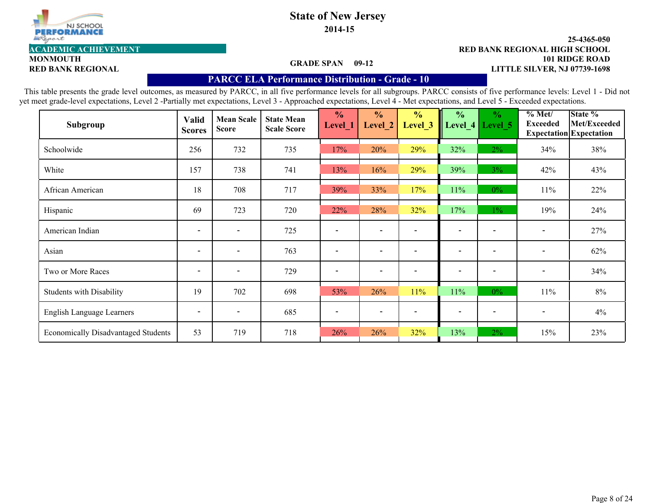

# **State of New Jersey**

**2014-15**

#### **101 RIDGE ROAD 25-4365-050 RED BANK REGIONAL LITTLE SILVER, NJ 07739-1698 ACADEMIC ACHIEVEMENT RED BANK REGIONAL HIGH SCHOOL**

#### **GRADE SPAN 09-12**

# **MONMOUTH**

### **PARCC ELA Performance Distribution - Grade - 10**

This table presents the grade level outcomes, as measured by PARCC, in all five performance levels for all subgroups. PARCC consists of five performance levels: Level 1 - Did not yet meet grade-level expectations, Level 2 -Partially met expectations, Level 3 - Approached expectations, Level 4 - Met expectations, and Level 5 - Exceeded expectations.

| Subgroup                                   | Valid<br><b>Scores</b>   | <b>Mean Scale</b><br><b>Score</b> | <b>State Mean</b><br><b>Scale Score</b> | $\frac{0}{0}$<br>Level 1 | $\frac{0}{0}$<br>Level 2 | $\frac{0}{0}$<br>Level 3 | $\frac{0}{0}$<br>Level $4$ | $\frac{0}{0}$<br>Level 5 | % Met/<br><b>Exceeded</b> | State %<br>Met/Exceeded<br><b>Expectation</b> Expectation |
|--------------------------------------------|--------------------------|-----------------------------------|-----------------------------------------|--------------------------|--------------------------|--------------------------|----------------------------|--------------------------|---------------------------|-----------------------------------------------------------|
| Schoolwide                                 | 256                      | 732                               | 735                                     | 17%                      | 20%                      | 29%                      | 32%                        | $2\%$                    | 34%                       | 38%                                                       |
| White                                      | 157                      | 738                               | 741                                     | 13%                      | 16%                      | 29%                      | 39%                        | $3\%$                    | 42%                       | 43%                                                       |
| African American                           | 18                       | 708                               | 717                                     | 39%                      | 33%                      | 17%                      | 11%                        | $0\%$                    | 11%                       | 22%                                                       |
| Hispanic                                   | 69                       | 723                               | 720                                     | 22%                      | 28%                      | 32%                      | 17%                        | $1\%$                    | 19%                       | 24%                                                       |
| American Indian                            | $\overline{\phantom{a}}$ | $\overline{\phantom{a}}$          | 725                                     |                          | $\overline{\phantom{a}}$ |                          | $\blacksquare$             |                          |                           | 27%                                                       |
| Asian                                      | $\overline{\phantom{a}}$ | $\overline{\phantom{a}}$          | 763                                     | $\overline{\phantom{a}}$ | $\overline{\phantom{a}}$ |                          | $\overline{\phantom{a}}$   |                          | $\overline{\phantom{a}}$  | 62%                                                       |
| Two or More Races                          | $\overline{\phantom{a}}$ | $\overline{\phantom{a}}$          | 729                                     | $\overline{\phantom{a}}$ | $\overline{\phantom{a}}$ |                          | $\overline{\phantom{a}}$   |                          | $\overline{\phantom{a}}$  | 34%                                                       |
| <b>Students with Disability</b>            | 19                       | 702                               | 698                                     | 53%                      | 26%                      | 11%                      | 11%                        | $0\%$                    | 11%                       | 8%                                                        |
| English Language Learners                  | $\overline{\phantom{a}}$ | $\overline{\phantom{a}}$          | 685                                     | $\overline{\phantom{a}}$ | $\overline{\phantom{a}}$ |                          | $\overline{\phantom{a}}$   |                          | $\overline{\phantom{a}}$  | 4%                                                        |
| <b>Economically Disadvantaged Students</b> | 53                       | 719                               | 718                                     | 26%                      | 26%                      | 32%                      | 13%                        | $2\%$                    | 15%                       | 23%                                                       |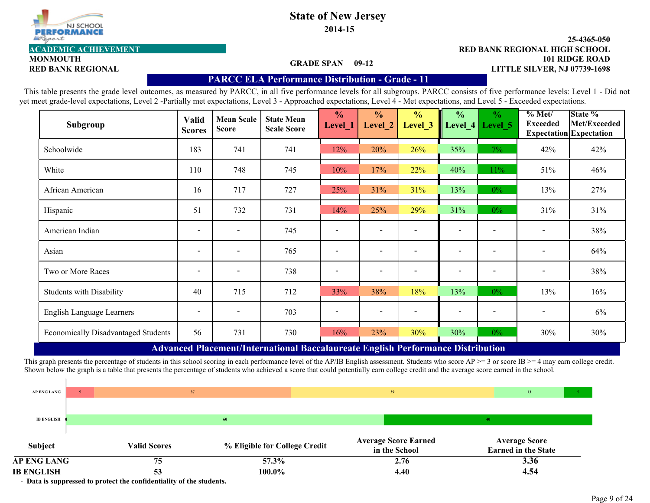

# **State of New Jersey**

**2014-15**

#### **101 RIDGE ROAD 25-4365-050 RED BANK REGIONAL LITTLE SILVER, NJ 07739-1698 ACADEMIC ACHIEVEMENT RED BANK REGIONAL HIGH SCHOOL**

### **GRADE SPAN 09-12**

# **MONMOUTH**

## **PARCC ELA Performance Distribution - Grade - 11**

This table presents the grade level outcomes, as measured by PARCC, in all five performance levels for all subgroups. PARCC consists of five performance levels: Level 1 - Did not yet meet grade-level expectations, Level 2 -Partially met expectations, Level 3 - Approached expectations, Level 4 - Met expectations, and Level 5 - Exceeded expectations.

| <b>Valid</b><br><b>Scores</b> | <b>Mean Scale</b><br><b>Score</b> | <b>State Mean</b><br><b>Scale Score</b> | $\frac{0}{0}$<br>Level_1 | $\frac{1}{2}$<br>Level <sub>_2</sub> | $\frac{0}{0}$<br>Level <sub>_3</sub> | $\frac{0}{0}$            | $\frac{6}{6}$<br>Level 5 | % Met/<br><b>Exceeded</b>                                                                  | State %<br>Met/Exceeded<br><b>Expectation</b> Expectation |
|-------------------------------|-----------------------------------|-----------------------------------------|--------------------------|--------------------------------------|--------------------------------------|--------------------------|--------------------------|--------------------------------------------------------------------------------------------|-----------------------------------------------------------|
| 183                           | 741                               | 741                                     | 12%                      | 20%                                  | 26%                                  | 35%                      | $7\%$                    | 42%                                                                                        | 42%                                                       |
| 110                           | 748                               | 745                                     | 10%                      | 17%                                  | 22%                                  | 40%                      | $11\%$                   | 51%                                                                                        | 46%                                                       |
| 16                            | 717                               | 727                                     | 25%                      | 31%                                  | 31%                                  | 13%                      | $0\%$                    | 13%                                                                                        | 27%                                                       |
| 51                            | 732                               | 731                                     | 14%                      | 25%                                  | 29%                                  | 31%                      | $0\%$                    | 31%                                                                                        | 31%                                                       |
| $\overline{\phantom{a}}$      | $\overline{\phantom{a}}$          | 745                                     |                          |                                      |                                      |                          |                          |                                                                                            | 38%                                                       |
| $\overline{\phantom{a}}$      | $\overline{\phantom{a}}$          | 765                                     |                          |                                      |                                      | $\overline{\phantom{0}}$ |                          |                                                                                            | 64%                                                       |
| $\overline{\phantom{a}}$      | $\overline{\phantom{a}}$          | 738                                     |                          | $\overline{\phantom{0}}$             |                                      | $\overline{\phantom{0}}$ |                          | $\overline{\phantom{a}}$                                                                   | 38%                                                       |
| 40                            | 715                               | 712                                     | 33%                      | 38%                                  | 18%                                  | 13%                      | $0\%$                    | 13%                                                                                        | 16%                                                       |
| $\overline{\phantom{a}}$      |                                   | 703                                     |                          |                                      |                                      |                          |                          |                                                                                            | $6\%$                                                     |
| 56                            | 731                               | 730                                     | 16%                      | 23%                                  | 30%                                  | 30%                      | $0\%$                    | 30%                                                                                        | 30%                                                       |
|                               |                                   |                                         |                          |                                      |                                      |                          |                          | Level_4<br>Advanced Placement/International Recceleureate English Performance Distribution |                                                           |

 **Advanced Placement/International Baccalaureate English Performance Distribution**

This graph presents the percentage of students in this school scoring in each performance level of the AP/IB English assessment. Students who score  $AP \ge 3$  or score IB  $\ge 4$  may earn college credit. Shown below the graph is a table that presents the percentage of students who achieved a score that could potentially earn college credit and the average score earned in the school.

| <b>IB ENGLISH</b>   |   | 53                  | 100.0%                        | 4.40                                         | 4.54                                               |
|---------------------|---|---------------------|-------------------------------|----------------------------------------------|----------------------------------------------------|
| AP ENG LANG         |   | 75                  | 57.3%                         | 2.76                                         | 3.36                                               |
| Subject             |   | <b>Valid Scores</b> | % Eligible for College Credit | <b>Average Score Earned</b><br>in the School | <b>Average Score</b><br><b>Earned in the State</b> |
| <b>IB ENGLISH (</b> |   |                     | 60                            |                                              | 40                                                 |
| AP ENG LANG         | 5 | 37                  |                               | 39                                           | 13                                                 |
|                     |   |                     |                               |                                              |                                                    |

- **Data is suppressed to protect the confidentiality of the students.**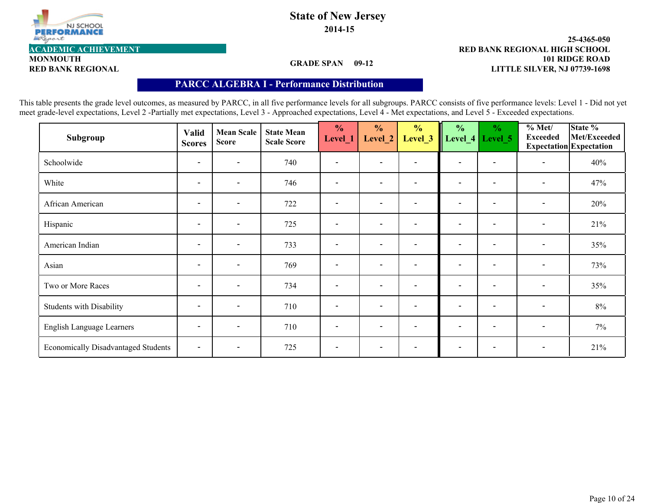

# **State of New Jersey 2014-15**

#### **101 RIDGE ROAD 25-4365-050 RED BANK REGIONAL LITTLE SILVER, NJ 07739-1698 ACADEMIC ACHIEVEMENT RED BANK REGIONAL HIGH SCHOOL**

**GRADE SPAN 09-12**

# **PARCC ALGEBRA I - Performance Distribution**

This table presents the grade level outcomes, as measured by PARCC, in all five performance levels for all subgroups. PARCC consists of five performance levels: Level 1 - Did not yet meet grade-level expectations, Level 2 -Partially met expectations, Level 3 - Approached expectations, Level 4 - Met expectations, and Level 5 - Exceeded expectations.

| Subgroup                                   | <b>Valid</b><br><b>Scores</b> | <b>Mean Scale</b><br><b>Score</b> | <b>State Mean</b><br><b>Scale Score</b> | $\frac{0}{0}$<br>Level_1     | $\frac{0}{0}$<br>Level_2 | $\frac{0}{0}$<br>Level_3 | $\frac{1}{2}$            | $\frac{0}{0}$<br>Level_4   Level_5 | % Met/<br><b>Exceeded</b> | State %<br>Met/Exceeded<br><b>Expectation</b> Expectation |
|--------------------------------------------|-------------------------------|-----------------------------------|-----------------------------------------|------------------------------|--------------------------|--------------------------|--------------------------|------------------------------------|---------------------------|-----------------------------------------------------------|
| Schoolwide                                 | $\overline{\phantom{a}}$      | $\overline{\phantom{a}}$          | 740                                     |                              | $\overline{\phantom{a}}$ |                          | $\overline{\phantom{a}}$ |                                    | $\overline{\phantom{0}}$  | 40%                                                       |
| White                                      | $\blacksquare$                | $\blacksquare$                    | 746                                     | $\qquad \qquad -$            | $\overline{\phantom{a}}$ | $\blacksquare$           | $\overline{\phantom{a}}$ | $\blacksquare$                     | $\overline{\phantom{a}}$  | 47%                                                       |
| African American                           | $\overline{\phantom{a}}$      | $\blacksquare$                    | 722                                     | $\qquad \qquad \blacksquare$ | $\overline{\phantom{a}}$ |                          | $\overline{\phantom{a}}$ | $\overline{\phantom{0}}$           | $\blacksquare$            | 20%                                                       |
| Hispanic                                   | $\overline{\phantom{a}}$      | $\blacksquare$                    | 725                                     | $\blacksquare$               | $\overline{\phantom{a}}$ |                          | $\overline{\phantom{a}}$ | $\blacksquare$                     | $\blacksquare$            | 21%                                                       |
| American Indian                            | $\overline{\phantom{a}}$      | $\blacksquare$                    | 733                                     | $\overline{\phantom{0}}$     | $\overline{\phantom{a}}$ |                          | $\overline{\phantom{a}}$ | $\overline{\phantom{0}}$           | $\overline{\phantom{a}}$  | 35%                                                       |
| Asian                                      | $\blacksquare$                | $\blacksquare$                    | 769                                     | $\blacksquare$               | $\overline{\phantom{a}}$ | $\blacksquare$           | $\overline{\phantom{a}}$ | $\overline{\phantom{a}}$           | $\overline{\phantom{a}}$  | 73%                                                       |
| Two or More Races                          | $\overline{\phantom{a}}$      | $\overline{\phantom{a}}$          | 734                                     | $\overline{\phantom{0}}$     | $\overline{\phantom{0}}$ |                          | $\overline{\phantom{0}}$ | $\overline{\phantom{0}}$           | $\overline{\phantom{a}}$  | 35%                                                       |
| <b>Students with Disability</b>            | $\overline{\phantom{a}}$      | $\overline{\phantom{a}}$          | 710                                     | $\qquad \qquad$              | $\overline{\phantom{a}}$ | $\overline{\phantom{0}}$ | $\overline{\phantom{a}}$ | $\qquad \qquad$                    | $\blacksquare$            | 8%                                                        |
| English Language Learners                  | $\overline{\phantom{a}}$      | $\overline{\phantom{a}}$          | 710                                     | $\overline{\phantom{0}}$     | $\overline{\phantom{a}}$ | $\overline{\phantom{0}}$ | $\overline{\phantom{0}}$ | $\overline{\phantom{0}}$           | $\overline{\phantom{a}}$  | 7%                                                        |
| <b>Economically Disadvantaged Students</b> | $\blacksquare$                | $\blacksquare$                    | 725                                     | $\overline{\phantom{0}}$     | $\overline{\phantom{a}}$ |                          | $\overline{\phantom{a}}$ |                                    | $\overline{\phantom{a}}$  | 21%                                                       |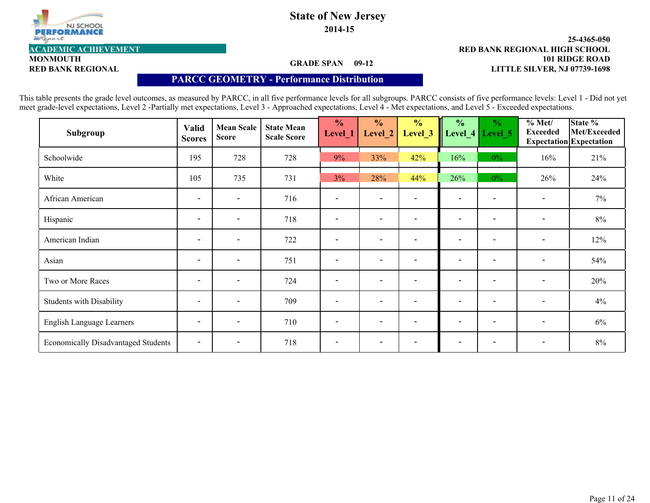

# **State of New Jersey**

**2014-15**

#### **101 RIDGE ROAD 25-4365-050 RED BANK REGIONAL LITTLE SILVER, NJ 07739-1698 ACADEMIC ACHIEVEMENT RED BANK REGIONAL HIGH SCHOOL**

**MONMOUTH**

### **GRADE SPAN 09-12**

### **PARCC GEOMETRY - Performance Distribution**

This table presents the grade level outcomes, as measured by PARCC, in all five performance levels for all subgroups. PARCC consists of five performance levels: Level 1 - Did not yet meet grade-level expectations, Level 2 -Partially met expectations, Level 3 - Approached expectations, Level 4 - Met expectations, and Level 5 - Exceeded expectations.

| Subgroup                                   | Valid<br><b>Scores</b>   | <b>Mean Scale</b><br><b>Score</b> | <b>State Mean</b><br><b>Scale Score</b> | $\frac{0}{0}$<br>Level_1 | $\frac{0}{0}$<br>Level_2 | $\frac{0}{0}$<br>Level <sub>_3</sub> | $\frac{1}{2}$            | $\frac{6}{6}$<br>Level_4   Level_5 | % Met/<br><b>Exceeded</b> | State %<br>Met/Exceeded<br><b>Expectation</b> Expectation |
|--------------------------------------------|--------------------------|-----------------------------------|-----------------------------------------|--------------------------|--------------------------|--------------------------------------|--------------------------|------------------------------------|---------------------------|-----------------------------------------------------------|
| Schoolwide                                 | 195                      | 728                               | 728                                     | 9%                       | 33%                      | 42%                                  | 16%                      | $0\%$                              | 16%                       | 21%                                                       |
| White                                      | 105                      | 735                               | 731                                     | 3%                       | 28%                      | 44%                                  | 26%                      | $0\%$                              | 26%                       | 24%                                                       |
| African American                           | $\overline{\phantom{a}}$ | $\blacksquare$                    | 716                                     |                          | $\overline{\phantom{a}}$ |                                      | $\overline{\phantom{a}}$ |                                    | $\blacksquare$            | $7\%$                                                     |
| Hispanic                                   | $\overline{\phantom{a}}$ | $\overline{\phantom{a}}$          | 718                                     |                          | $\overline{\phantom{a}}$ |                                      | $\overline{\phantom{a}}$ | $\overline{\phantom{0}}$           | $\overline{\phantom{a}}$  | 8%                                                        |
| American Indian                            | $\overline{\phantom{a}}$ | $\overline{\phantom{a}}$          | 722                                     |                          | $\overline{\phantom{a}}$ |                                      | $\overline{\phantom{0}}$ |                                    | $\overline{\phantom{a}}$  | 12%                                                       |
| Asian                                      | $\blacksquare$           | $\blacksquare$                    | 751                                     | $\qquad \qquad -$        | $\overline{\phantom{a}}$ | $\sim$                               | $\overline{\phantom{a}}$ | $\qquad \qquad -$                  | $\overline{\phantom{a}}$  | 54%                                                       |
| Two or More Races                          | $\overline{\phantom{a}}$ | $\overline{\phantom{a}}$          | 724                                     |                          | $\overline{\phantom{a}}$ |                                      | $\overline{\phantom{0}}$ | $\overline{\phantom{0}}$           | $\overline{\phantom{a}}$  | 20%                                                       |
| <b>Students with Disability</b>            | $\overline{\phantom{a}}$ | $\blacksquare$                    | 709                                     | $\overline{\phantom{0}}$ | $\overline{\phantom{a}}$ |                                      | $\overline{\phantom{0}}$ | $\qquad \qquad \blacksquare$       | $\overline{\phantom{a}}$  | 4%                                                        |
| English Language Learners                  | $\overline{\phantom{a}}$ | $\qquad \qquad -$                 | 710                                     |                          | $\overline{\phantom{a}}$ |                                      | $\overline{\phantom{0}}$ | $\overline{\phantom{0}}$           | $\overline{\phantom{a}}$  | $6\%$                                                     |
| <b>Economically Disadvantaged Students</b> | $\blacksquare$           | $\overline{\phantom{a}}$          | 718                                     |                          | $\overline{\phantom{0}}$ |                                      |                          |                                    | $\overline{\phantom{a}}$  | 8%                                                        |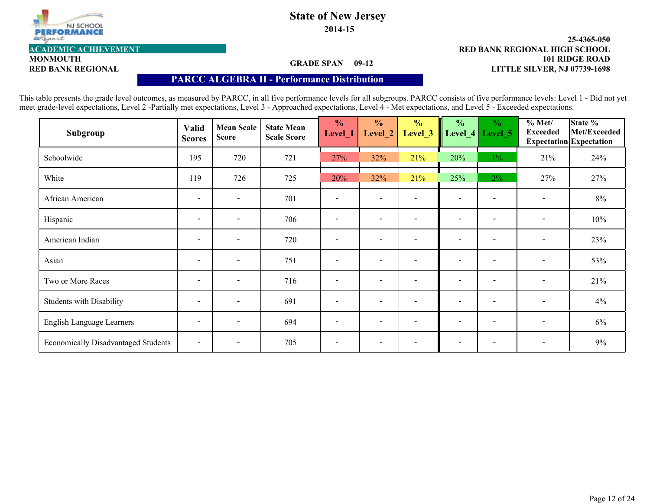

# **State of New Jersey**

**2014-15**

#### **101 RIDGE ROAD 25-4365-050 RED BANK REGIONAL LITTLE SILVER, NJ 07739-1698 ACADEMIC ACHIEVEMENT RED BANK REGIONAL HIGH SCHOOL**

**MONMOUTH**

### **GRADE SPAN 09-12**

### **PARCC ALGEBRA II - Performance Distribution**

This table presents the grade level outcomes, as measured by PARCC, in all five performance levels for all subgroups. PARCC consists of five performance levels: Level 1 - Did not yet meet grade-level expectations, Level 2 -Partially met expectations, Level 3 - Approached expectations, Level 4 - Met expectations, and Level 5 - Exceeded expectations.

| Subgroup                                   | Valid<br><b>Scores</b>   | <b>Mean Scale</b><br><b>Score</b> | <b>State Mean</b><br><b>Scale Score</b> | $\frac{0}{0}$<br>Level_1 | $\frac{0}{0}$<br>Level_2 | $\frac{0}{0}$<br>Level <sub>_3</sub> | $\frac{1}{2}$            | $\frac{6}{6}$<br>Level_4   Level_5 | % Met/<br><b>Exceeded</b> | State %<br>Met/Exceeded<br><b>Expectation</b> Expectation |
|--------------------------------------------|--------------------------|-----------------------------------|-----------------------------------------|--------------------------|--------------------------|--------------------------------------|--------------------------|------------------------------------|---------------------------|-----------------------------------------------------------|
| Schoolwide                                 | 195                      | 720                               | 721                                     | 27%                      | 32%                      | 21%                                  | 20%                      | $1\%$                              | 21%                       | 24%                                                       |
| White                                      | 119                      | 726                               | 725                                     | 20%                      | 32%                      | 21%                                  | 25%                      | $2\%$                              | 27%                       | 27%                                                       |
| African American                           | $\overline{\phantom{a}}$ | $\blacksquare$                    | 701                                     |                          | $\overline{\phantom{a}}$ |                                      | $\overline{\phantom{a}}$ |                                    | $\overline{\phantom{a}}$  | 8%                                                        |
| Hispanic                                   | $\overline{\phantom{a}}$ | $\overline{\phantom{a}}$          | 706                                     |                          | $\overline{\phantom{a}}$ |                                      | $\overline{\phantom{a}}$ | $\overline{\phantom{0}}$           | $\overline{\phantom{a}}$  | 10%                                                       |
| American Indian                            | $\overline{\phantom{a}}$ | $\overline{\phantom{a}}$          | 720                                     |                          | $\overline{\phantom{a}}$ |                                      | $\overline{\phantom{0}}$ |                                    | $\overline{\phantom{a}}$  | 23%                                                       |
| Asian                                      | $\blacksquare$           | $\blacksquare$                    | 751                                     | $\qquad \qquad -$        | $\overline{\phantom{a}}$ | $\sim$                               | $\overline{\phantom{a}}$ | $\qquad \qquad -$                  | $\overline{\phantom{a}}$  | 53%                                                       |
| Two or More Races                          | $\overline{\phantom{a}}$ | $\overline{\phantom{a}}$          | 716                                     |                          | $\overline{\phantom{a}}$ |                                      | $\overline{\phantom{0}}$ | $\overline{\phantom{0}}$           | $\overline{\phantom{a}}$  | 21%                                                       |
| <b>Students with Disability</b>            | $\overline{\phantom{a}}$ | $\blacksquare$                    | 691                                     | $\overline{\phantom{0}}$ | $\overline{\phantom{0}}$ |                                      | $\overline{\phantom{0}}$ | $\qquad \qquad \blacksquare$       | $\overline{\phantom{a}}$  | 4%                                                        |
| English Language Learners                  | $\overline{\phantom{a}}$ | $\qquad \qquad -$                 | 694                                     |                          | $\overline{\phantom{a}}$ |                                      | $\overline{\phantom{0}}$ | $\overline{\phantom{0}}$           | $\overline{\phantom{a}}$  | $6\%$                                                     |
| <b>Economically Disadvantaged Students</b> | $\blacksquare$           | $\overline{\phantom{a}}$          | 705                                     | $\qquad \qquad$          | $\overline{\phantom{0}}$ |                                      | $\overline{\phantom{0}}$ |                                    | $\overline{\phantom{a}}$  | 9%                                                        |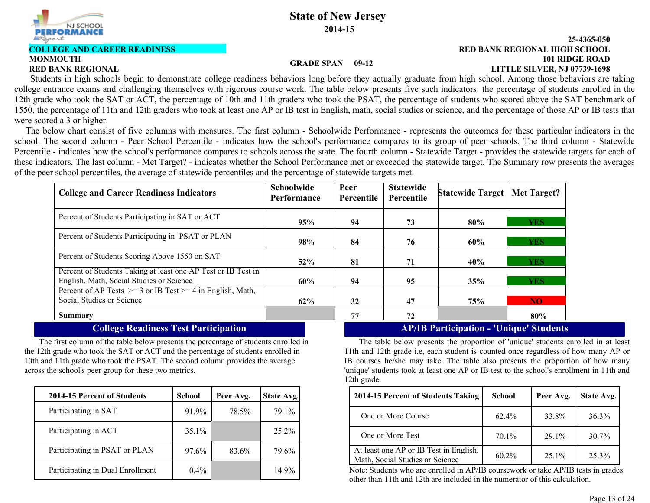

# **COLLEGE AND CAREER READINESS**

# **MONMOUTH**

#### **101 RIDGE ROAD 25-4365-050 RED BANK REGIONAL LITTLE SILVER, NJ 07739-1698 RED BANK REGIONAL HIGH SCHOOL**

### **GRADE SPAN 09-12**

 Students in high schools begin to demonstrate college readiness behaviors long before they actually graduate from high school. Among those behaviors are taking college entrance exams and challenging themselves with rigorous course work. The table below presents five such indicators: the percentage of students enrolled in the 12th grade who took the SAT or ACT, the percentage of 10th and 11th graders who took the PSAT, the percentage of students who scored above the SAT benchmark of 1550, the percentage of 11th and 12th graders who took at least one AP or IB test in English, math, social studies or science, and the percentage of those AP or IB tests that were scored a 3 or higher.

 The below chart consist of five columns with measures. The first column - Schoolwide Performance - represents the outcomes for these particular indicators in the school. The second column - Peer School Percentile - indicates how the school's performance compares to its group of peer schools. The third column - Statewide Percentile - indicates how the school's performance compares to schools across the state. The fourth column - Statewide Target - provides the statewide targets for each of these indicators. The last column - Met Target? - indicates whether the School Performance met or exceeded the statewide target. The Summary row presents the averages of the peer school percentiles, the average of statewide percentiles and the percentage of statewide targets met.

| <b>College and Career Readiness Indicators</b>                                                            | <b>Schoolwide</b><br>Performance | Peer<br>Percentile | <b>Statewide</b><br>Percentile | Statewide Target | <b>Met Target?</b> |
|-----------------------------------------------------------------------------------------------------------|----------------------------------|--------------------|--------------------------------|------------------|--------------------|
| Percent of Students Participating in SAT or ACT                                                           | 95%                              | 94                 | 73                             | 80%              | <b>YES</b>         |
| Percent of Students Participating in PSAT or PLAN                                                         | 98%                              | 84                 | 76                             | 60%              | <b>YES</b>         |
| Percent of Students Scoring Above 1550 on SAT                                                             | 52%                              | 81                 | 71                             | 40%              | <b>YES</b>         |
| Percent of Students Taking at least one AP Test or IB Test in<br>English, Math, Social Studies or Science | 60%                              | 94                 | 95                             | 35%              | <b>YES</b>         |
| Percent of AP Tests $\ge$ = 3 or IB Test $\ge$ = 4 in English, Math,<br>Social Studies or Science         | 62%                              | 32                 | 47                             | 75%              | NO.                |
| <b>Summary</b>                                                                                            |                                  | 77                 | 72                             |                  | 80%                |

The first column of the table below presents the percentage of students enrolled in the 12th grade who took the SAT or ACT and the percentage of students enrolled in 10th and 11th grade who took the PSAT. The second column provides the average across the school's peer group for these two metrics.

| 2014-15 Percent of Students      | <b>School</b> | Peer Avg. | <b>State Avg.</b> |
|----------------------------------|---------------|-----------|-------------------|
| Participating in SAT             | 91.9%         | 78.5%     | 79.1%             |
| Participating in ACT             | 35.1%         |           | 25.2%             |
| Participating in PSAT or PLAN    | 97.6%         | 83.6%     | 79.6%             |
| Participating in Dual Enrollment | $0.4\%$       |           | 14.9%             |

## **College Readiness Test Participation AP/IB Participation - 'Unique' Students**

The table below presents the proportion of 'unique' students enrolled in at least 11th and 12th grade i.e, each student is counted once regardless of how many AP or IB courses he/she may take. The table also presents the proportion of how many 'unique' students took at least one AP or IB test to the school's enrollment in 11th and 12th grade.

| hool  | Peer Avg. | State Avg | 2014-15 Percent of Students Taking                                        | <b>School</b> | Peer Avg. | State Avg. |
|-------|-----------|-----------|---------------------------------------------------------------------------|---------------|-----------|------------|
| 91.9% | 78.5%     | 79.1%     | One or More Course                                                        | 62.4%         | 33.8%     | $36.3\%$   |
| 35.1% |           | $25.2\%$  | One or More Test                                                          | 70.1%         | 29.1%     | $30.7\%$   |
| 97.6% | 83.6%     | 79.6%     | At least one AP or IB Test in English,<br>Math, Social Studies or Science | $60.2\%$      | $25.1\%$  | 25.3%      |

Note: Students who are enrolled in AP/IB coursework or take AP/IB tests in grades other than 11th and 12th are included in the numerator of this calculation.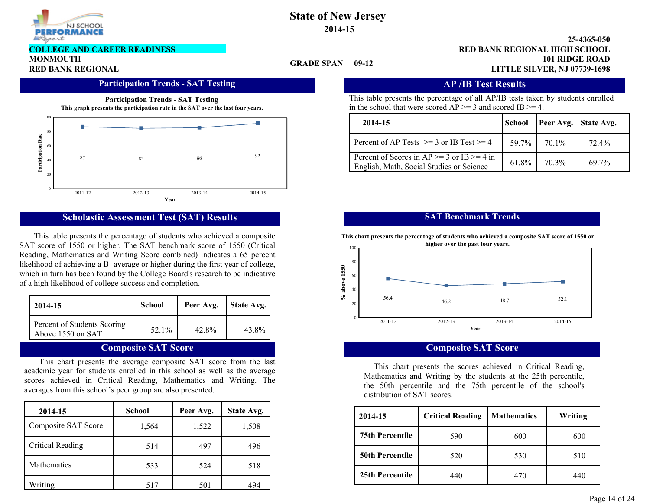

**COLLEGE AND CAREER READINESS**

**MONMOUTH**

### **GRADE SPAN**

**101 RIDGE ROAD 25-4365-050 RED BANK REGIONAL LITTLE SILVER, NJ 07739-1698 RED BANK REGIONAL HIGH SCHOOL**

### **Participation Trends - SAT Testing Transfer AP /IB Test Results**



## **Scholastic Assessment Test (SAT) Results**

This table presents the percentage of students who achieved a composite SAT score of 1550 or higher. The SAT benchmark score of 1550 (Critical Reading, Mathematics and Writing Score combined) indicates a 65 percent likelihood of achieving a B- average or higher during the first year of college, which in turn has been found by the College Board's research to be indicative of a high likelihood of college success and completion.

| 2014-15                                          | <b>School</b> | Peer Avg. | State Avg. |
|--------------------------------------------------|---------------|-----------|------------|
| Percent of Students Scoring<br>Above 1550 on SAT | 52.1%         | 42.8%     | 43.8%      |

## **Composite SAT Score**

This chart presents the average composite SAT score from the last academic year for students enrolled in this school as well as the average scores achieved in Critical Reading, Mathematics and Writing. The averages from this school's peer group are also presented.

| 2014-15                 | <b>School</b> | Peer Avg. | State Avg. |
|-------------------------|---------------|-----------|------------|
| Composite SAT Score     | 1,564         | 1,522     | 1,508      |
| <b>Critical Reading</b> | 514           | 497       | 496        |
| <b>Mathematics</b>      | 533           | 524       | 518        |
| Writing                 | 517           | 501       | 494        |

This table presents the percentage of all AP/IB tests taken by students enrolled in the school that were scored  $AP \ge 3$  and scored IB  $\ge 4$ .

| 2014-15                                                                                    | <b>School</b> |       | <b>Peer Avg.</b> State Avg. |
|--------------------------------------------------------------------------------------------|---------------|-------|-----------------------------|
| Percent of AP Tests $\ge$ = 3 or IB Test $\ge$ = 4                                         | 59.7%         | 70.1% | 72.4%                       |
| Percent of Scores in AP $>=$ 3 or IB $>=$ 4 in<br>English, Math, Social Studies or Science | 61.8%         | 70.3% | $697\%$                     |

# **SAT Benchmark Trends**

**This chart presents the percentage of students who achieved a composite SAT score of 1550 or**



### **Composite SAT Score**

This chart presents the scores achieved in Critical Reading, Mathematics and Writing by the students at the 25th percentile, the 50th percentile and the 75th percentile of the school's distribution of SAT scores.

| School | Peer Avg.                | State Avg. | 2014-15                | <b>Critical Reading</b> | Mathematics | <b>Writing</b> |
|--------|--------------------------|------------|------------------------|-------------------------|-------------|----------------|
| .564   | ,522                     | .508       |                        |                         |             |                |
|        |                          |            | <b>75th Percentile</b> | 590                     | 600         | 600            |
| 514    | 497                      | 496        |                        |                         |             |                |
|        |                          |            | <b>50th Percentile</b> | 520                     | 530         | 510            |
| 533    | 524                      | 518        | 25th Percentile        |                         |             |                |
| 517    | $\mathcal{L}$ $\Omega$ 1 | $A \cap A$ |                        | 440                     | 470         | 440            |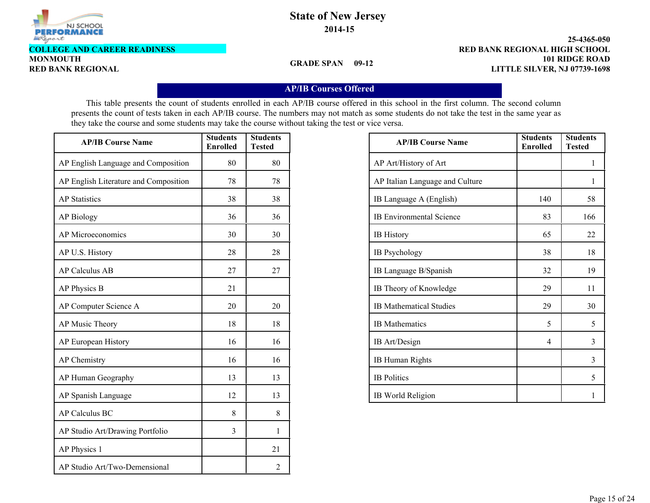

**COLLEGE AND CAREER READINESS**

**MONMOUTH**

**GRADE SPAN 09-12**

**101 RIDGE ROAD 25-4365-050 RED BANK REGIONAL LITTLE SILVER, NJ 07739-1698 RED BANK REGIONAL HIGH SCHOOL**

## **AP/IB Courses Offered**

This table presents the count of students enrolled in each AP/IB course offered in this school in the first column. The second column presents the count of tests taken in each AP/IB course. The numbers may not match as some students do not take the test in the same year as they take the course and some students may take the course without taking the test or vice versa.

| <b>AP/IB Course Name</b>              | <b>Students</b><br><b>Enrolled</b> | <b>Students</b><br><b>Tested</b> |
|---------------------------------------|------------------------------------|----------------------------------|
| AP English Language and Composition   | 80                                 | 80                               |
| AP English Literature and Composition | 78                                 | 78                               |
| <b>AP</b> Statistics                  | 38                                 | 38                               |
| <b>AP Biology</b>                     | 36                                 | 36                               |
| AP Microeconomics                     | 30                                 | 30                               |
| AP U.S. History                       | 28                                 | 28                               |
| <b>AP Calculus AB</b>                 | 27                                 | 27                               |
| AP Physics B                          | 21                                 |                                  |
| AP Computer Science A                 | 20                                 | 20                               |
| AP Music Theory                       | 18                                 | 18                               |
| AP European History                   | 16                                 | 16                               |
| <b>AP</b> Chemistry                   | 16                                 | 16                               |
| AP Human Geography                    | 13                                 | 13                               |
| AP Spanish Language                   | 12                                 | 13                               |
| <b>AP Calculus BC</b>                 | 8                                  | 8                                |
| AP Studio Art/Drawing Portfolio       | 3                                  | 1                                |
| AP Physics 1                          |                                    | 21                               |
| AP Studio Art/Two-Demensional         |                                    | 2                                |

| <b>AP/IB Course Name</b>        | <b>Students</b><br><b>Enrolled</b> | <b>Students</b><br><b>Tested</b> |
|---------------------------------|------------------------------------|----------------------------------|
| AP Art/History of Art           |                                    | 1                                |
| AP Italian Language and Culture |                                    | 1                                |
| IB Language A (English)         | 140                                | 58                               |
| <b>IB Environmental Science</b> | 83                                 | 166                              |
| <b>IB</b> History               | 65                                 | 22                               |
| <b>IB</b> Psychology            | 38                                 | 18                               |
| IB Language B/Spanish           | 32                                 | 19                               |
| IB Theory of Knowledge          | 29                                 | 11                               |
| <b>IB Mathematical Studies</b>  | 29                                 | 30                               |
| <b>IB</b> Mathematics           | 5                                  | 5                                |
| IB Art/Design                   | 4                                  | 3                                |
| <b>IB Human Rights</b>          |                                    | 3                                |
| <b>IB</b> Politics              |                                    | 5                                |
| IB World Religion               |                                    | 1                                |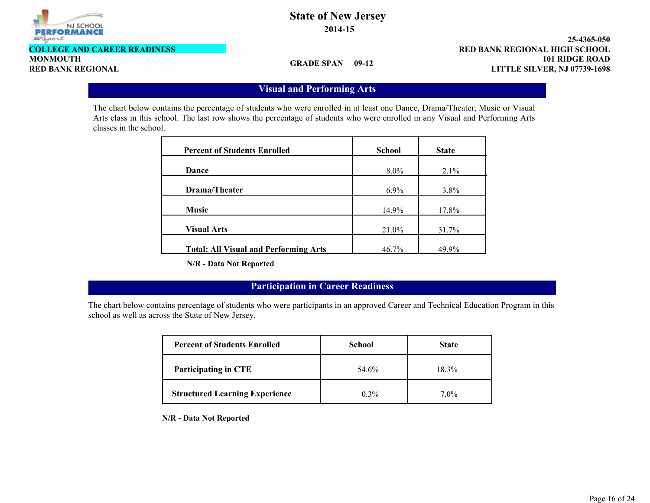

**COLLEGE AND CAREER READINESS**

**MONMOUTH**

**GRADE SPAN 09-12**

**101 RIDGE ROAD 25-4365-050 RED BANK REGIONAL LITTLE SILVER, NJ 07739-1698 RED BANK REGIONAL HIGH SCHOOL**

# **Visual and Performing Arts**

The chart below contains the percentage of students who were enrolled in at least one Dance, Drama/Theater, Music or Visual Arts class in this school. The last row shows the percentage of students who were enrolled in any Visual and Performing Arts classes in the school.

| <b>Percent of Students Enrolled</b>          | <b>School</b> | <b>State</b> |
|----------------------------------------------|---------------|--------------|
| Dance                                        | $8.0\%$       | 2.1%         |
| Drama/Theater                                | $6.9\%$       | $3.8\%$      |
| <b>Music</b>                                 | 14.9%         | 17.8%        |
| <b>Visual Arts</b>                           | 21.0%         | 31.7%        |
| <b>Total: All Visual and Performing Arts</b> | 46.7%         | 49.9%        |

**N/R - Data Not Reported**

# **Participation in Career Readiness**

The chart below contains percentage of students who were participants in an approved Career and Technical Education Program in this school as well as across the State of New Jersey.

| <b>Percent of Students Enrolled</b>   | <b>School</b> | <b>State</b> |  |
|---------------------------------------|---------------|--------------|--|
| <b>Participating in CTE</b>           | 54.6%         | 18.3%        |  |
| <b>Structured Learning Experience</b> | $0.3\%$       | $7.0\%$      |  |

**N/R - Data Not Reported**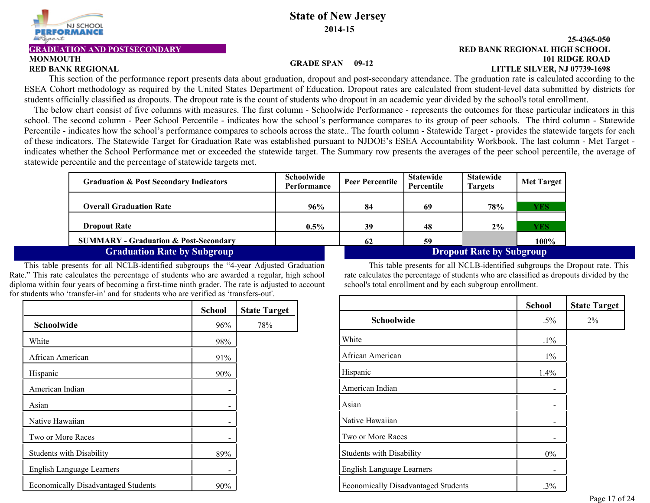

# **MONMOUTH**

#### **101 RIDGE ROAD 25-4365-050 RED BANK REGIONAL LITTLE SILVER, NJ 07739-1698 GRADUATION AND POSTSECONDARY RED BANK REGIONAL HIGH SCHOOL**

#### **GRADE SPAN 09-12**

This section of the performance report presents data about graduation, dropout and post-secondary attendance. The graduation rate is calculated according to the ESEA Cohort methodology as required by the United States Department of Education. Dropout rates are calculated from student-level data submitted by districts for students officially classified as dropouts. The dropout rate is the count of students who dropout in an academic year divided by the school's total enrollment.

The below chart consist of five columns with measures. The first column - Schoolwide Performance - represents the outcomes for these particular indicators in this school. The second column - Peer School Percentile - indicates how the school's performance compares to its group of peer schools. The third column - Statewide Percentile - indicates how the school's performance compares to schools across the state.. The fourth column - Statewide Target - provides the statewide targets for each of these indicators. The Statewide Target for Graduation Rate was established pursuant to NJDOE's ESEA Accountability Workbook. The last column - Met Target indicates whether the School Performance met or exceeded the statewide target. The Summary row presents the averages of the peer school percentile, the average of statewide percentile and the percentage of statewide targets met.

| <b>Graduation &amp; Post Secondary Indicators</b> | <b>Schoolwide</b><br>Performance | <b>Peer Percentile</b> | <b>Statewide</b><br>Percentile  | <b>Statewide</b><br>Targets | <b>Met Target</b> |
|---------------------------------------------------|----------------------------------|------------------------|---------------------------------|-----------------------------|-------------------|
|                                                   |                                  |                        |                                 |                             |                   |
| <b>Overall Graduation Rate</b>                    | 96%                              | 84                     | 69                              | <b>78%</b>                  | YES               |
|                                                   |                                  |                        |                                 |                             |                   |
| <b>Dropout Rate</b>                               | $0.5\%$                          | 39                     | 48                              | 2%                          | YES               |
| <b>SUMMARY - Graduation &amp; Post-Secondary</b>  |                                  | 62                     | 59                              |                             | 100%              |
| <b>Graduation Rate by Subgroup</b>                |                                  |                        | <b>Dropout Rate by Subgroup</b> |                             |                   |

This table presents for all NCLB-identified subgroups the "4-year Adjusted Graduation Rate." This rate calculates the percentage of students who are awarded a regular, high school diploma within four years of becoming a first-time ninth grader. The rate is adjusted to account for students who 'transfer-in' and for students who are verified as 'transfers-out'.

|                                            | <b>School</b> | <b>State Target</b> |
|--------------------------------------------|---------------|---------------------|
| Schoolwide                                 | 96%           | 78%                 |
| White                                      | 98%           |                     |
| African American                           | 91%           |                     |
| Hispanic                                   | 90%           |                     |
| American Indian                            |               |                     |
| Asian                                      |               |                     |
| Native Hawaiian                            | -             |                     |
| Two or More Races                          | -             |                     |
| <b>Students with Disability</b>            | 89%           |                     |
| English Language Learners                  |               |                     |
| <b>Economically Disadvantaged Students</b> | 90%           |                     |

This table presents for all NCLB-identified subgroups the Dropout rate. This rate calculates the percentage of students who are classified as dropouts divided by the school's total enrollment and by each subgroup enrollment.

|                                            | <b>School</b> | <b>State Target</b> |
|--------------------------------------------|---------------|---------------------|
| Schoolwide                                 | $.5\%$        | $2\%$               |
| White                                      | $.1\%$        |                     |
| African American                           | $1\%$         |                     |
| Hispanic                                   | 1.4%          |                     |
| American Indian                            |               |                     |
| Asian                                      |               |                     |
| Native Hawaiian                            |               |                     |
| Two or More Races                          |               |                     |
| <b>Students with Disability</b>            | $0\%$         |                     |
| <b>English Language Learners</b>           |               |                     |
| <b>Economically Disadvantaged Students</b> | $.3\%$        |                     |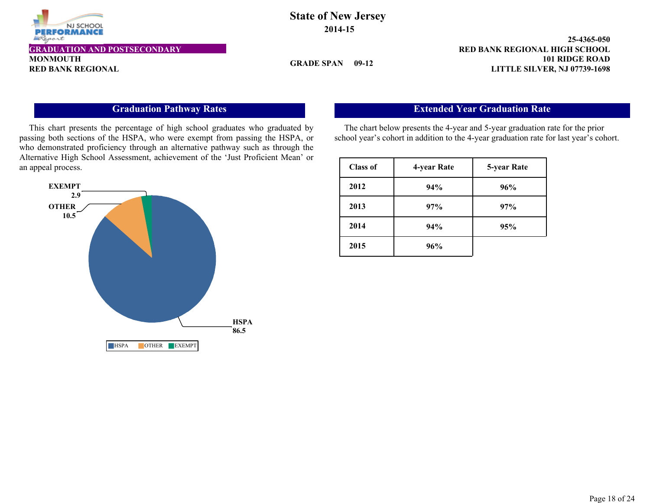

# **State of New Jersey 2014-15**

**GRADE SPAN 09-12**

**101 RIDGE ROAD 25-4365-050 RED BANK REGIONAL LITTLE SILVER, NJ 07739-1698 GRADUATION AND POSTSECONDARY RED BANK REGIONAL HIGH SCHOOL**

# **Graduation Pathway Rates**

This chart presents the percentage of high school graduates who graduated by passing both sections of the HSPA, who were exempt from passing the HSPA, or who demonstrated proficiency through an alternative pathway such as through the Alternative High School Assessment, achievement of the 'Just Proficient Mean' or an appeal process.



# **Extended Year Graduation Rate**

The chart below presents the 4-year and 5-year graduation rate for the prior school year's cohort in addition to the 4-year graduation rate for last year's cohort.

| <b>Class of</b> | 4-year Rate | 5-year Rate |
|-----------------|-------------|-------------|
| 2012            | 94%         | 96%         |
| 2013            | 97%         | 97%         |
| 2014            | 94%         | 95%         |
| 2015            | 96%         |             |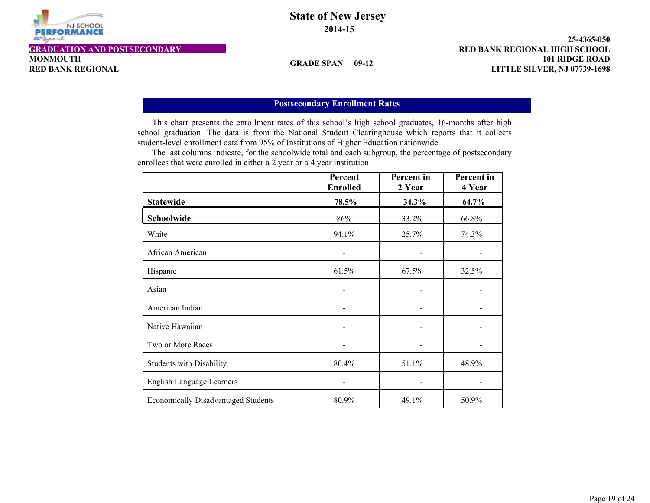

# **State of New Jersey 2014-15**

**GRADE SPAN 09-12**

**101 RIDGE ROAD 25-4365-050 RED BANK REGIONAL LITTLE SILVER, NJ 07739-1698 GRADUATION AND POSTSECONDARY RED BANK REGIONAL HIGH SCHOOL**

## **Postsecondary Enrollment Rates**

This chart presents the enrollment rates of this school's high school graduates, 16-months after high school graduation. The data is from the National Student Clearinghouse which reports that it collects student-level enrollment data from 95% of Institutions of Higher Education nationwide.

 The last columns indicate, for the schoolwide total and each subgroup, the percentage of postsecondary enrollees that were enrolled in either a 2 year or a 4 year institution.

|                                            | Percent<br><b>Enrolled</b> | <b>Percent</b> in<br>2 Year | <b>Percent</b> in<br>4 Year |
|--------------------------------------------|----------------------------|-----------------------------|-----------------------------|
| <b>Statewide</b>                           | 78.5%                      | 34.3%                       | 64.7%                       |
| Schoolwide                                 | 86%                        | 33.2%                       | 66.8%                       |
| White                                      | 94.1%                      | 25.7%                       | 74.3%                       |
| African American                           |                            |                             |                             |
| Hispanic                                   | 61.5%                      | 67.5%                       | 32.5%                       |
| Asian                                      |                            |                             |                             |
| American Indian                            |                            |                             |                             |
| Native Hawaiian                            |                            |                             |                             |
| Two or More Races                          |                            |                             |                             |
| <b>Students with Disability</b>            | 80.4%                      | 51.1%                       | 48.9%                       |
| <b>English Language Learners</b>           |                            |                             |                             |
| <b>Economically Disadvantaged Students</b> | 80.9%                      | 49.1%                       | 50.9%                       |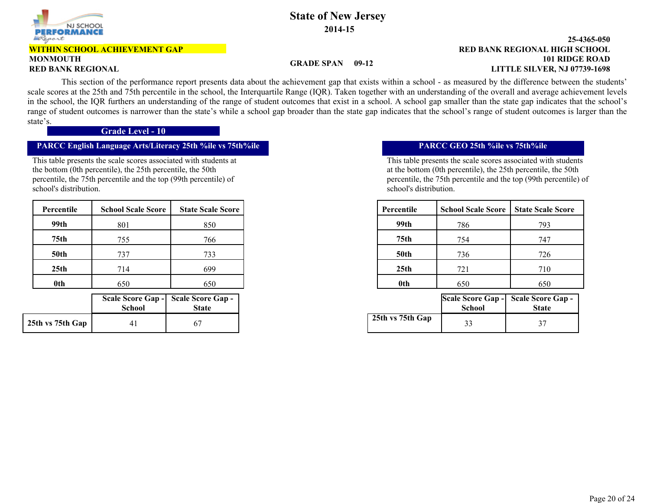

# **WITHIN SCHOOL ACHIEVEMENT GAP**

# **MONMOUTH**

#### **101 RIDGE ROAD 25-4365-050 RED BANK REGIONAL LITTLE SILVER, NJ 07739-1698 RED BANK REGIONAL HIGH SCHOOL**

### **GRADE SPAN 09-12**

 This section of the performance report presents data about the achievement gap that exists within a school - as measured by the difference between the students' scale scores at the 25th and 75th percentile in the school, the Interquartile Range (IQR). Taken together with an understanding of the overall and average achievement levels in the school, the IQR furthers an understanding of the range of student outcomes that exist in a school. A school gap smaller than the state gap indicates that the school's range of student outcomes is narrower than the state's while a school gap broader than the state gap indicates that the school's range of student outcomes is larger than the state's.

**Grade Level - 10**

## **PARCC English Language Arts/Literacy 25th %ile vs 75th%ile PARCC GEO 25th %ile vs 75th%ile**

This table presents the scale scores associated with students at the bottom (0th percentile), the 25th percentile, the 50th percentile, the 75th percentile and the top (99th percentile) of school's distribution.

| Percentile       | <b>School Scale Score</b> | <b>State Scale Score</b> | Percentile       |  |
|------------------|---------------------------|--------------------------|------------------|--|
| 99th             | 801                       | 850                      | 99th             |  |
| 75 <sub>th</sub> | 755                       | 766                      | 75th             |  |
| <b>50th</b>      | 737                       | 733                      | <b>50th</b>      |  |
| 25 <sub>th</sub> | 714                       | 699                      | 25 <sub>th</sub> |  |
| <b>Oth</b>       | 650                       | 650                      | 0th              |  |

|                  | <b>School</b> | Scale Score Gap - Scale Score Gap -<br><b>State</b> |
|------------------|---------------|-----------------------------------------------------|
| 25th vs 75th Gap |               |                                                     |

This table presents the scale scores associated with students at the bottom (0th percentile), the 25th percentile, the 50th percentile, the 75th percentile and the top (99th percentile) of school's distribution.

| cale Score | Percentile       | <b>School Scale Score</b> | <b>State Scale Score</b> |
|------------|------------------|---------------------------|--------------------------|
| 850        | 99th             | 786                       | 793                      |
| 766        | 75 <sub>th</sub> | 754                       | 747                      |
| 733        | <b>50th</b>      | 736                       | 726                      |
| 699        | 25 <sub>th</sub> | 721                       | 710                      |
| 650        | 0th              | 650                       | 650                      |

| hool | eore Gap -   Scale Score Gap -<br><b>State</b> |                  | School | Scale Score Gap - Scale Score Gap -<br><b>State</b> |
|------|------------------------------------------------|------------------|--------|-----------------------------------------------------|
|      |                                                | 25th vs 75th Gap |        | $\sim$<br>ັ                                         |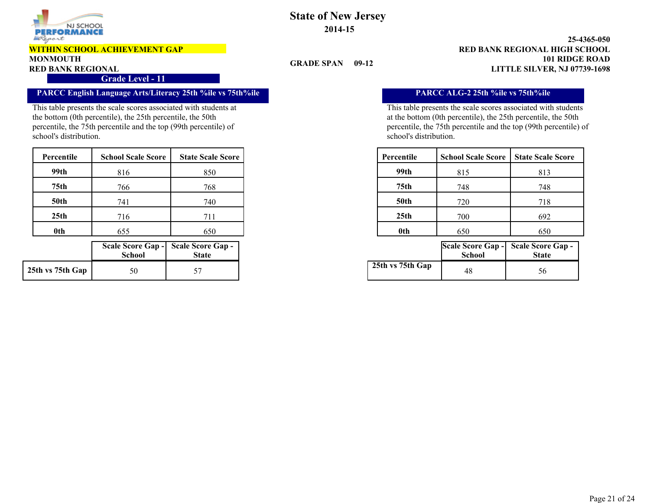

#### **WITHIN SCHOOL ACHIEVEMENT GAP**

#### **MONMOUTH**

#### **Grade Level - 11**

# **PARCC English Language Arts/Literacy 25th %ile vs 75th%ile PARCC ALG-2 25th %ile vs 75th%ile**

This table presents the scale scores associated with students at the bottom (0th percentile), the 25th percentile, the 50th percentile, the 75th percentile and the top (99th percentile) of school's distribution.

| Percentile       | <b>School Scale Score</b> | <b>State Scale Score</b> | Percentile       | <b>School Scale Score</b> | <b>State Scale Score</b> |
|------------------|---------------------------|--------------------------|------------------|---------------------------|--------------------------|
| 99th             | 816                       | 850                      | 99th             | 815                       | 813                      |
| 75 <sub>th</sub> | 766                       | 768                      | 75th             | 748                       | 748                      |
| <b>50th</b>      | 741                       | 740                      | <b>50th</b>      | 720                       | 718                      |
| 25 <sub>th</sub> | 716                       | 711                      | 25 <sub>th</sub> | 700                       | 692                      |
| 0th              | 655                       | 650                      | 0th              | 650                       | 650                      |

|                  | <b>School</b> | Scale Score Gap - Scale Score Gap -<br><b>State</b> |
|------------------|---------------|-----------------------------------------------------|
| 25th vs 75th Gap |               |                                                     |

# **State of New Jersey 2014-15**

#### **101 RIDGE ROAD 25-4365-050 RED BANK REGIONAL LITTLE SILVER, NJ 07739-1698 RED BANK REGIONAL HIGH SCHOOL**

### **GRADE SPAN 09-12**

This table presents the scale scores associated with students at the bottom (0th percentile), the 25th percentile, the 50th percentile, the 75th percentile and the top (99th percentile) of school's distribution.

| cale Score | Percentile       | <b>School Scale Score</b> | <b>State Scale Score</b> |
|------------|------------------|---------------------------|--------------------------|
| 850        | 99th             | 815                       | 813                      |
| 768        | 75 <sub>th</sub> | 748                       | 748                      |
| 740        | <b>50th</b>      | 720                       | 718                      |
| 711        | 25th             | 700                       | 692                      |
| 650        | 0th              | 650                       | 650                      |

| hool | <b>core Gap - Scale Score Gap -</b><br><b>State</b> |                  | School | Scale Score Gap - Scale Score Gap -<br><b>State</b> |
|------|-----------------------------------------------------|------------------|--------|-----------------------------------------------------|
| 50   |                                                     | 25th vs 75th Gap | 48     | Эb                                                  |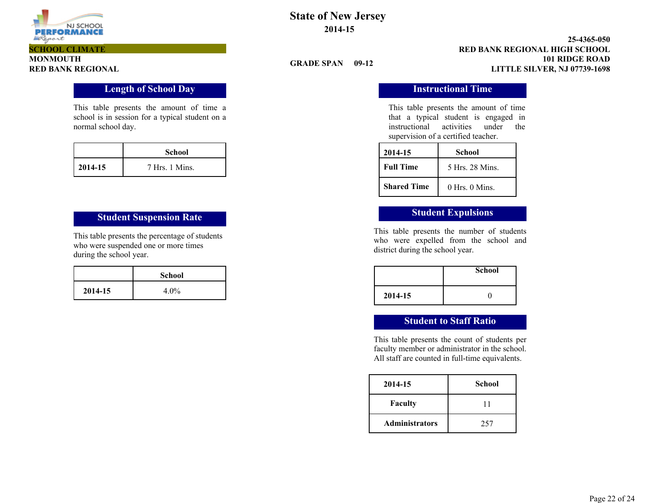

# **State of New Jersey 2014-15**

#### **101 RIDGE ROAD 25-4365-050 RED BANK REGIONAL LITTLE SILVER, NJ 07739-1698 RED BANK REGIONAL HIGH SCHOOL**

### **GRADE SPAN 09-12**

**Length of School Day Instructional Time** 

This table presents the amount of time that a typical student is engaged in instructional activities under the supervision of a certified teacher.

| 2014-15            | School        |  |  |  |
|--------------------|---------------|--|--|--|
| <b>Full Time</b>   | 5 Hrs 28 Mins |  |  |  |
| <b>Shared Time</b> | 0 Hrs 0 Mins  |  |  |  |

This table presents the number of students who were expelled from the school and district during the school year.

|         | <b>School</b> |
|---------|---------------|
| 2014-15 |               |

# **Student to Staff Ratio**

This table presents the count of students per faculty member or administrator in the school. All staff are counted in full-time equivalents.

| 2014-15               | <b>School</b> |
|-----------------------|---------------|
| <b>Faculty</b>        | 11            |
| <b>Administrators</b> | 257           |

This table presents the amount of time a school is in session for a typical student on a normal school day.

|              | <b>School</b>  |
|--------------|----------------|
| $12014 - 15$ | 7 Hrs. 1 Mins. |

# **Student Suspension Rate Student Expulsions**

This table presents the percentage of students who were suspended one or more times during the school year.

|         | <b>School</b> |
|---------|---------------|
| 2014-15 | $4.0\%$       |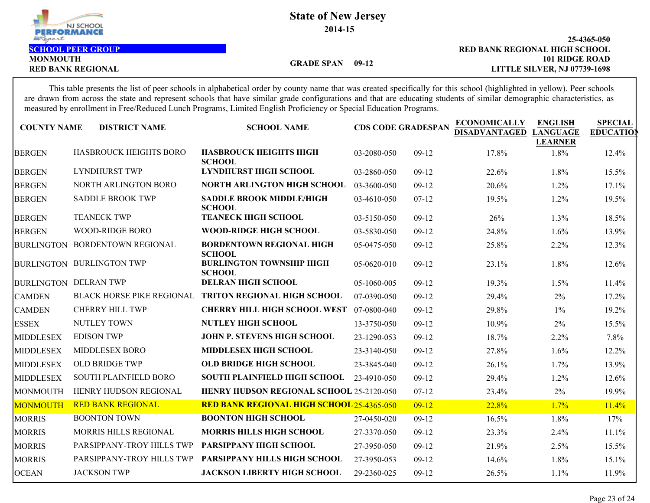

**MONMOUTH**

**101 RIDGE ROAD 25-4365-050 RED BANK REGIONAL LITTLE SILVER, NJ 07739-1698 SCHOOL PEER GROUP RED BANK REGIONAL HIGH SCHOOL**

**GRADE SPAN 09-12**

This table presents the list of peer schools in alphabetical order by county name that was created specifically for this school (highlighted in yellow). Peer schools are drawn from across the state and represent schools that have similar grade configurations and that are educating students of similar demographic characteristics, as measured by enrollment in Free/Reduced Lunch Programs, Limited English Proficiency or Special Education Programs.

| <b>COUNTY NAME</b>           | <b>DISTRICT NAME</b>             | <b>SCHOOL NAME</b>                               | <b>CDS CODE GRADESPAN</b> |           | <b>ECONOMICALLY</b><br><b>DISADVANTAGED</b> | <b>ENGLISH</b><br><b>LANGUAGE</b><br><b>LEARNER</b> | <b>SPECIAL</b><br><b>EDUCATIO</b> |
|------------------------------|----------------------------------|--------------------------------------------------|---------------------------|-----------|---------------------------------------------|-----------------------------------------------------|-----------------------------------|
| <b>BERGEN</b>                | HASBROUCK HEIGHTS BORO           | <b>HASBROUCK HEIGHTS HIGH</b><br><b>SCHOOL</b>   | 03-2080-050               | $09-12$   | 17.8%                                       | 1.8%                                                | 12.4%                             |
| <b>BERGEN</b>                | <b>LYNDHURST TWP</b>             | <b>LYNDHURST HIGH SCHOOL</b>                     | 03-2860-050               | $09-12$   | 22.6%                                       | 1.8%                                                | 15.5%                             |
| <b>BERGEN</b>                | NORTH ARLINGTON BORO             | <b>NORTH ARLINGTON HIGH SCHOOL</b>               | 03-3600-050               | $09-12$   | 20.6%                                       | 1.2%                                                | 17.1%                             |
| <b>BERGEN</b>                | <b>SADDLE BROOK TWP</b>          | <b>SADDLE BROOK MIDDLE/HIGH</b><br><b>SCHOOL</b> | 03-4610-050               | $07 - 12$ | 19.5%                                       | 1.2%                                                | 19.5%                             |
| <b>BERGEN</b>                | <b>TEANECK TWP</b>               | <b>TEANECK HIGH SCHOOL</b>                       | 03-5150-050               | $09-12$   | 26%                                         | 1.3%                                                | 18.5%                             |
| <b>BERGEN</b>                | WOOD-RIDGE BORO                  | WOOD-RIDGE HIGH SCHOOL                           | 03-5830-050               | $09-12$   | 24.8%                                       | 1.6%                                                | 13.9%                             |
|                              | BURLINGTON BORDENTOWN REGIONAL   | <b>BORDENTOWN REGIONAL HIGH</b><br><b>SCHOOL</b> | 05-0475-050               | $09-12$   | 25.8%                                       | 2.2%                                                | 12.3%                             |
| <b>BURLINGTON</b>            | <b>BURLINGTON TWP</b>            | <b>BURLINGTON TOWNSHIP HIGH</b><br><b>SCHOOL</b> | 05-0620-010               | $09-12$   | 23.1%                                       | 1.8%                                                | 12.6%                             |
| <b>BURLINGTON DELRAN TWP</b> |                                  | <b>DELRAN HIGH SCHOOL</b>                        | 05-1060-005               | $09-12$   | 19.3%                                       | 1.5%                                                | 11.4%                             |
| <b>CAMDEN</b>                | <b>BLACK HORSE PIKE REGIONAL</b> | <b>TRITON REGIONAL HIGH SCHOOL</b>               | 07-0390-050               | $09-12$   | 29.4%                                       | 2%                                                  | 17.2%                             |
| <b>CAMDEN</b>                | <b>CHERRY HILL TWP</b>           | <b>CHERRY HILL HIGH SCHOOL WEST</b>              | 07-0800-040               | $09-12$   | 29.8%                                       | $1\%$                                               | 19.2%                             |
| <b>ESSEX</b>                 | NUTLEY TOWN                      | <b>NUTLEY HIGH SCHOOL</b>                        | 13-3750-050               | $09-12$   | 10.9%                                       | 2%                                                  | 15.5%                             |
| <b>MIDDLESEX</b>             | <b>EDISON TWP</b>                | <b>JOHN P. STEVENS HIGH SCHOOL</b>               | 23-1290-053               | $09-12$   | 18.7%                                       | 2.2%                                                | 7.8%                              |
| <b>MIDDLESEX</b>             | <b>MIDDLESEX BORO</b>            | MIDDLESEX HIGH SCHOOL                            | 23-3140-050               | $09-12$   | 27.8%                                       | 1.6%                                                | 12.2%                             |
| <b>MIDDLESEX</b>             | <b>OLD BRIDGE TWP</b>            | <b>OLD BRIDGE HIGH SCHOOL</b>                    | 23-3845-040               | $09-12$   | 26.1%                                       | 1.7%                                                | 13.9%                             |
| <b>MIDDLESEX</b>             | <b>SOUTH PLAINFIELD BORO</b>     | <b>SOUTH PLAINFIELD HIGH SCHOOL</b>              | 23-4910-050               | $09-12$   | 29.4%                                       | 1.2%                                                | 12.6%                             |
| <b>MONMOUTH</b>              | HENRY HUDSON REGIONAL            | HENRY HUDSON REGIONAL SCHOOL 25-2120-050         |                           | $07-12$   | 23.4%                                       | 2%                                                  | 19.9%                             |
| <b>MONMOUTH</b>              | <b>RED BANK REGIONAL</b>         | <b>RED BANK REGIONAL HIGH SCHOOL 25-4365-050</b> |                           | $09-12$   | 22.8%                                       | 1.7%                                                | 11.4%                             |
| <b>MORRIS</b>                | <b>BOONTON TOWN</b>              | <b>BOONTON HIGH SCHOOL</b>                       | 27-0450-020               | $09-12$   | 16.5%                                       | 1.8%                                                | 17%                               |
| <b>MORRIS</b>                | MORRIS HILLS REGIONAL            | <b>MORRIS HILLS HIGH SCHOOL</b>                  | 27-3370-050               | $09-12$   | 23.3%                                       | 2.4%                                                | 11.1%                             |
| <b>MORRIS</b>                | PARSIPPANY-TROY HILLS TWP        | PARSIPPANY HIGH SCHOOL                           | 27-3950-050               | $09-12$   | 21.9%                                       | 2.5%                                                | 15.5%                             |
| <b>MORRIS</b>                | PARSIPPANY-TROY HILLS TWP        | PARSIPPANY HILLS HIGH SCHOOL                     | 27-3950-053               | $09-12$   | 14.6%                                       | 1.8%                                                | 15.1%                             |
| <b>OCEAN</b>                 | <b>JACKSON TWP</b>               | <b>JACKSON LIBERTY HIGH SCHOOL</b>               | 29-2360-025               | $09-12$   | 26.5%                                       | 1.1%                                                | 11.9%                             |